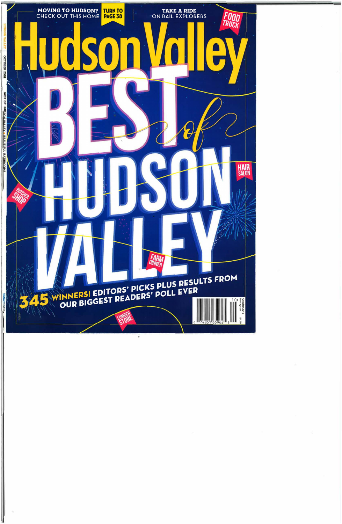